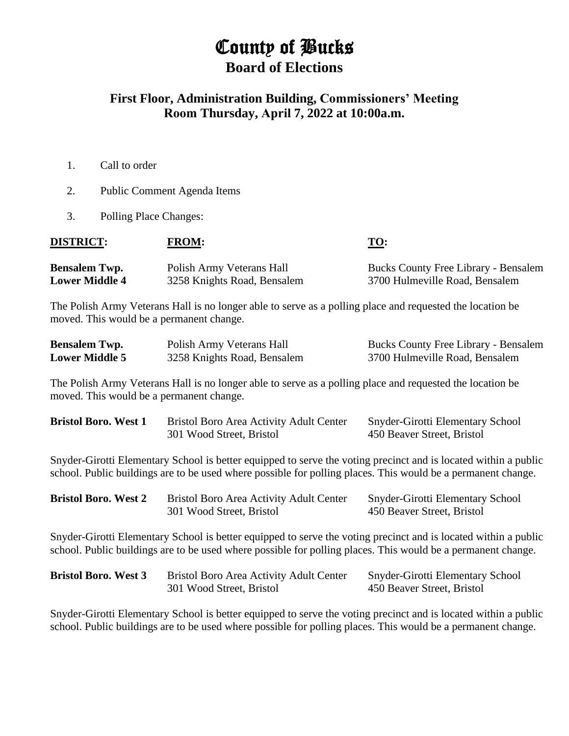## County of Bucks **Board of Elections**

## **First Floor, Administration Building, Commissioners' Meeting Room Thursday, April 7, 2022 at 10:00a.m.**

- 1. Call to order
- 2. Public Comment Agenda Items
- 3. Polling Place Changes:

| <b>DISTRICT:</b>      | <b>FROM:</b>                | <u>TO:</u>                                  |
|-----------------------|-----------------------------|---------------------------------------------|
| <b>Bensalem Twp.</b>  | Polish Army Veterans Hall   | <b>Bucks County Free Library - Bensalem</b> |
| <b>Lower Middle 4</b> | 3258 Knights Road, Bensalem | 3700 Hulmeville Road, Bensalem              |

The Polish Army Veterans Hall is no longer able to serve as a polling place and requested the location be moved. This would be a permanent change.

| <b>Bensalem Twp.</b>  | Polish Army Veterans Hall   | <b>Bucks County Free Library - Bensalem</b> |
|-----------------------|-----------------------------|---------------------------------------------|
| <b>Lower Middle 5</b> | 3258 Knights Road, Bensalem | 3700 Hulmeville Road, Bensalem              |

The Polish Army Veterans Hall is no longer able to serve as a polling place and requested the location be moved. This would be a permanent change.

| <b>Bristol Boro. West 1</b> | Bristol Boro Area Activity Adult Center | <b>Snyder-Girotti Elementary School</b> |  |
|-----------------------------|-----------------------------------------|-----------------------------------------|--|
|                             | 301 Wood Street, Bristol                | 450 Beaver Street, Bristol              |  |

Snyder-Girotti Elementary School is better equipped to serve the voting precinct and is located within a public school. Public buildings are to be used where possible for polling places. This would be a permanent change.

| <b>Bristol Boro. West 2</b> | Bristol Boro Area Activity Adult Center | <b>Snyder-Girotti Elementary School</b> |
|-----------------------------|-----------------------------------------|-----------------------------------------|
|                             | 301 Wood Street, Bristol                | 450 Beaver Street, Bristol              |

Snyder-Girotti Elementary School is better equipped to serve the voting precinct and is located within a public school. Public buildings are to be used where possible for polling places. This would be a permanent change.

| <b>Bristol Boro. West 3</b> | Bristol Boro Area Activity Adult Center | <b>Snyder-Girotti Elementary School</b> |
|-----------------------------|-----------------------------------------|-----------------------------------------|
|                             | 301 Wood Street, Bristol                | 450 Beaver Street, Bristol              |

Snyder-Girotti Elementary School is better equipped to serve the voting precinct and is located within a public school. Public buildings are to be used where possible for polling places. This would be a permanent change.